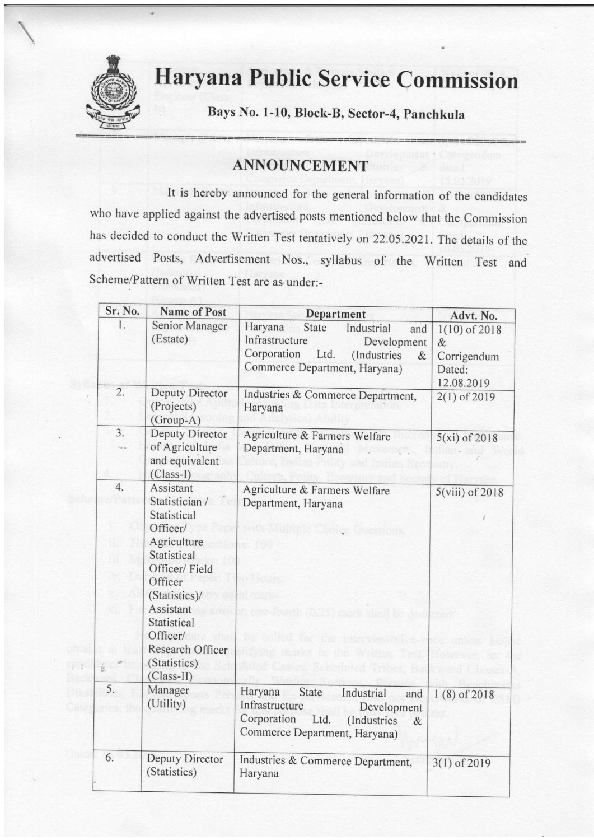

## Haryana Public Service Commission

Bays No. l-10, Block-B, Sector-4, panchkula

## ANNOUNCEMENT

It is hereby announced for the general information of the candidates who have applied against the advertised posts mentioned below that the commission has decided to conduct the written Test tentatively on 22.05.2021. The details of the advertised Posts, Advertisement Nos., syllabus of the written Test and Scheme/Pattem of Written Test are as under:-

| Sr. No.        | <b>Name of Post</b>                                                                                                                                                                                                           | Department                                                                                                                                            | Advt. No.                                                      |
|----------------|-------------------------------------------------------------------------------------------------------------------------------------------------------------------------------------------------------------------------------|-------------------------------------------------------------------------------------------------------------------------------------------------------|----------------------------------------------------------------|
| $\mathbf{1}$ . | Senior Manager<br>(Estate)                                                                                                                                                                                                    | Haryana<br>State<br>Industrial<br>and<br>Infrastructure<br>Development<br>Corporation<br>Ltd.<br>(Industries<br>$\&$<br>Commerce Department, Haryana) | $1(10)$ of 2018<br>$\&$<br>Corrigendum<br>Dated:<br>12.08.2019 |
| 2.             | Deputy Director<br>(Projects)<br>(Group-A)                                                                                                                                                                                    | Industries & Commerce Department,<br>Haryana                                                                                                          | $2(1)$ of 2019                                                 |
| 3.             | Deputy Director<br>of Agriculture<br>and equivalent<br>$(Class-I)$                                                                                                                                                            | Agriculture & Farmers Welfare<br>Department, Haryana                                                                                                  | $5(xi)$ of 2018                                                |
| 4.<br>B.       | Assistant<br>Statistician /<br>Statistical<br>Officer/<br>Agriculture<br>Statistical<br>Officer/Field<br>Officer<br>(Statistics)/<br>Assistant<br>Statistical<br>Officer/<br>Research Officer<br>(Statistics)<br>$(Class-II)$ | Agriculture & Farmers Welfare<br>Department, Haryana<br>138<br>科里切 动理的<br>in the watten Test<br>Astes, Schoduted Tribes, Ba                           | $5(viii)$ of 2018                                              |
| 5.             | Manager<br>(Utility)                                                                                                                                                                                                          | Haryana<br>State<br>Industrial<br>and<br>Infrastructure<br>Development<br>Corporation<br>Ltd.<br>(Industries<br>$\&$<br>Commerce Department, Haryana) | $1(8)$ of 2018                                                 |
| 6.             | Deputy Director<br>(Statistics)                                                                                                                                                                                               | Industries & Commerce Department,<br>Haryana                                                                                                          | $3(1)$ of 2019                                                 |